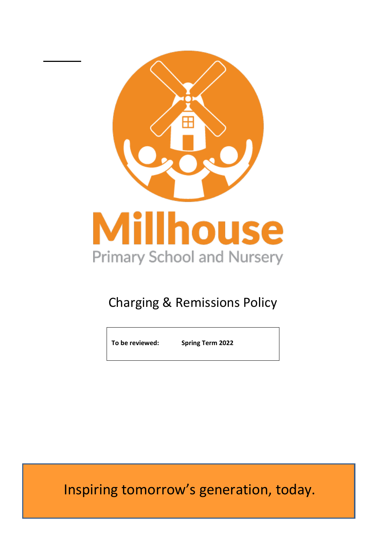

# Charging & Remissions Policy

**To be reviewed: Spring Term 2022**

Inspiring tomorrow's generation, today.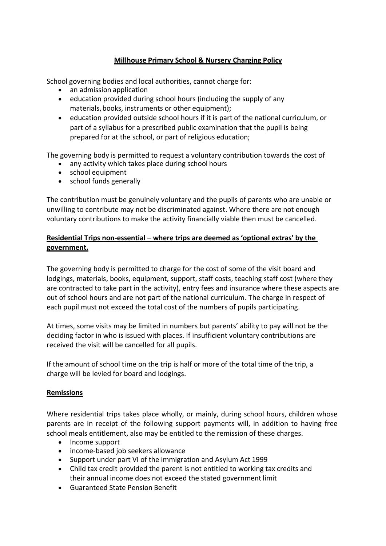## **Millhouse Primary School & Nursery Charging Policy**

School governing bodies and local authorities, cannot charge for:

- an admission application
- education provided during school hours (including the supply of any materials, books, instruments or other equipment);
- education provided outside school hours if it is part of the national curriculum, or part of a syllabus for a prescribed public examination that the pupil is being prepared for at the school, or part of religious education;

The governing body is permitted to request a voluntary contribution towards the cost of

- any activity which takes place during school hours
- school equipment
- school funds generally

The contribution must be genuinely voluntary and the pupils of parents who are unable or unwilling to contribute may not be discriminated against. Where there are not enough voluntary contributions to make the activity financially viable then must be cancelled.

# **Residential Trips non-essential – where trips are deemed as 'optional extras' by the government.**

The governing body is permitted to charge for the cost of some of the visit board and lodgings, materials, books, equipment, support, staff costs, teaching staff cost (where they are contracted to take part in the activity), entry fees and insurance where these aspects are out of school hours and are not part of the national curriculum. The charge in respect of each pupil must not exceed the total cost of the numbers of pupils participating.

At times, some visits may be limited in numbers but parents' ability to pay will not be the deciding factor in who is issued with places. If insufficient voluntary contributions are received the visit will be cancelled for all pupils.

If the amount of school time on the trip is half or more of the total time of the trip, a charge will be levied for board and lodgings.

## **Remissions**

Where residential trips takes place wholly, or mainly, during school hours, children whose parents are in receipt of the following support payments will, in addition to having free school meals entitlement, also may be entitled to the remission of these charges.

- Income support
- income-based job seekers allowance
- Support under part VI of the immigration and Asylum Act 1999
- Child tax credit provided the parent is not entitled to working tax credits and their annual income does not exceed the stated government limit
- Guaranteed State Pension Benefit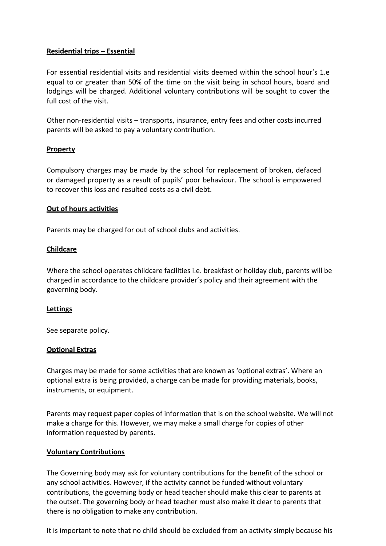## **Residential trips – Essential**

For essential residential visits and residential visits deemed within the school hour's 1.e equal to or greater than 50% of the time on the visit being in school hours, board and lodgings will be charged. Additional voluntary contributions will be sought to cover the full cost of the visit.

Other non-residential visits – transports, insurance, entry fees and other costs incurred parents will be asked to pay a voluntary contribution.

#### **Property**

Compulsory charges may be made by the school for replacement of broken, defaced or damaged property as a result of pupils' poor behaviour. The school is empowered to recover this loss and resulted costs as a civil debt.

#### **Out of hours activities**

Parents may be charged for out of school clubs and activities.

#### **Childcare**

Where the school operates childcare facilities i.e. breakfast or holiday club, parents will be charged in accordance to the childcare provider's policy and their agreement with the governing body.

#### **Lettings**

See separate policy.

#### **Optional Extras**

Charges may be made for some activities that are known as 'optional extras'. Where an optional extra is being provided, a charge can be made for providing materials, books, instruments, or equipment.

Parents may request paper copies of information that is on the school website. We will not make a charge for this. However, we may make a small charge for copies of other information requested by parents.

#### **Voluntary Contributions**

The Governing body may ask for voluntary contributions for the benefit of the school or any school activities. However, if the activity cannot be funded without voluntary contributions, the governing body or head teacher should make this clear to parents at the outset. The governing body or head teacher must also make it clear to parents that there is no obligation to make any contribution.

It is important to note that no child should be excluded from an activity simply because his